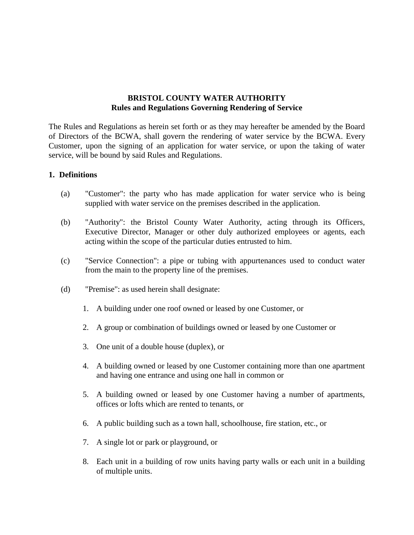## **BRISTOL COUNTY WATER AUTHORITY Rules and Regulations Governing Rendering of Service**

The Rules and Regulations as herein set forth or as they may hereafter be amended by the Board of Directors of the BCWA, shall govern the rendering of water service by the BCWA. Every Customer, upon the signing of an application for water service, or upon the taking of water service, will be bound by said Rules and Regulations.

## **1. Definitions**

- (a) "Customer": the party who has made application for water service who is being supplied with water service on the premises described in the application.
- (b) "Authority": the Bristol County Water Authority, acting through its Officers, Executive Director, Manager or other duly authorized employees or agents, each acting within the scope of the particular duties entrusted to him.
- (c) "Service Connection": a pipe or tubing with appurtenances used to conduct water from the main to the property line of the premises.
- (d) "Premise": as used herein shall designate:
	- 1. A building under one roof owned or leased by one Customer, or
	- 2. A group or combination of buildings owned or leased by one Customer or
	- 3. One unit of a double house (duplex), or
	- 4. A building owned or leased by one Customer containing more than one apartment and having one entrance and using one hall in common or
	- 5. A building owned or leased by one Customer having a number of apartments, offices or lofts which are rented to tenants, or
	- 6. A public building such as a town hall, schoolhouse, fire station, etc., or
	- 7. A single lot or park or playground, or
	- 8. Each unit in a building of row units having party walls or each unit in a building of multiple units.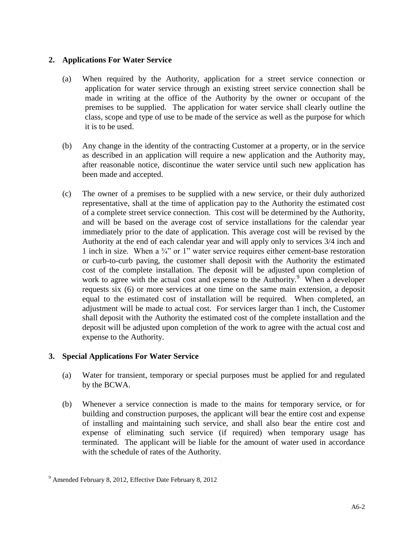## **2. Applications For Water Service**

- (a) When required by the Authority, application for a street service connection or application for water service through an existing street service connection shall be made in writing at the office of the Authority by the owner or occupant of the premises to be supplied. The application for water service shall clearly outline the class, scope and type of use to be made of the service as well as the purpose for which it is to be used.
- (b) Any change in the identity of the contracting Customer at a property, or in the service as described in an application will require a new application and the Authority may, after reasonable notice, discontinue the water service until such new application has been made and accepted.
- (c) The owner of a premises to be supplied with a new service, or their duly authorized representative, shall at the time of application pay to the Authority the estimated cost of a complete street service connection. This cost will be determined by the Authority, and will be based on the average cost of service installations for the calendar year immediately prior to the date of application. This average cost will be revised by the Authority at the end of each calendar year and will apply only to services 3/4 inch and 1 inch in size. When a  $\frac{3}{4}$  or 1" water service requires either cement-base restoration or curb-to-curb paving, the customer shall deposit with the Authority the estimated cost of the complete installation. The deposit will be adjusted upon completion of work to agree with the actual cost and expense to the Authority.<sup>9</sup> When a developer requests six (6) or more services at one time on the same main extension, a deposit equal to the estimated cost of installation will be required. When completed, an adjustment will be made to actual cost. For services larger than 1 inch, the Customer shall deposit with the Authority the estimated cost of the complete installation and the deposit will be adjusted upon completion of the work to agree with the actual cost and expense to the Authority.

## **3. Special Applications For Water Service**

- (a) Water for transient, temporary or special purposes must be applied for and regulated by the BCWA.
- (b) Whenever a service connection is made to the mains for temporary service, or for building and construction purposes, the applicant will bear the entire cost and expense of installing and maintaining such service, and shall also bear the entire cost and expense of eliminating such service (if required) when temporary usage has terminated. The applicant will be liable for the amount of water used in accordance with the schedule of rates of the Authority.

<sup>9</sup> Amended February 8, 2012, Effective Date February 8, 2012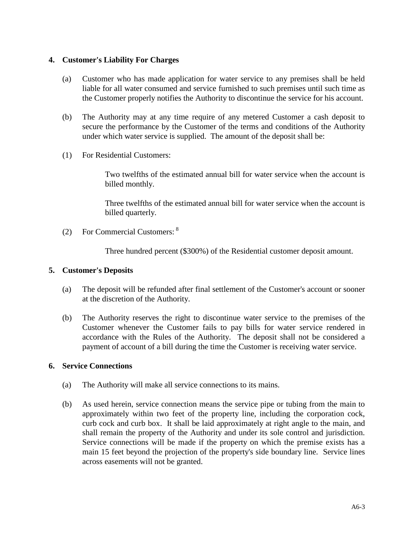## **4. Customer's Liability For Charges**

- (a) Customer who has made application for water service to any premises shall be held liable for all water consumed and service furnished to such premises until such time as the Customer properly notifies the Authority to discontinue the service for his account.
- (b) The Authority may at any time require of any metered Customer a cash deposit to secure the performance by the Customer of the terms and conditions of the Authority under which water service is supplied. The amount of the deposit shall be:
- (1) For Residential Customers:

Two twelfths of the estimated annual bill for water service when the account is billed monthly.

Three twelfths of the estimated annual bill for water service when the account is billed quarterly.

(2) For Commercial Customers: <sup>8</sup>

Three hundred percent (\$300%) of the Residential customer deposit amount.

#### **5. Customer's Deposits**

- (a) The deposit will be refunded after final settlement of the Customer's account or sooner at the discretion of the Authority.
- (b) The Authority reserves the right to discontinue water service to the premises of the Customer whenever the Customer fails to pay bills for water service rendered in accordance with the Rules of the Authority. The deposit shall not be considered a payment of account of a bill during the time the Customer is receiving water service.

#### **6. Service Connections**

- (a) The Authority will make all service connections to its mains.
- (b) As used herein, service connection means the service pipe or tubing from the main to approximately within two feet of the property line, including the corporation cock, curb cock and curb box. It shall be laid approximately at right angle to the main, and shall remain the property of the Authority and under its sole control and jurisdiction. Service connections will be made if the property on which the premise exists has a main 15 feet beyond the projection of the property's side boundary line. Service lines across easements will not be granted.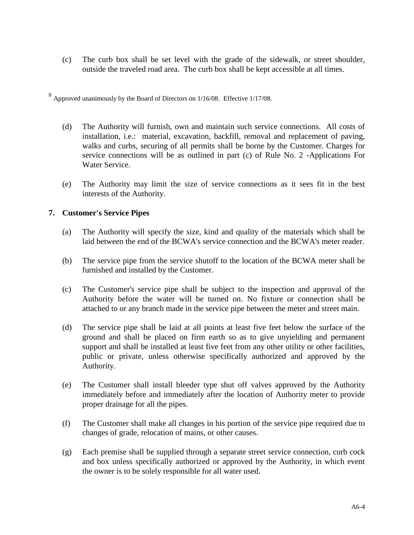(c) The curb box shall be set level with the grade of the sidewalk, or street shoulder, outside the traveled road area. The curb box shall be kept accessible at all times.

 $8$  Approved unanimously by the Board of Directors on 1/16/08. Effective 1/17/08.

- (d) The Authority will furnish, own and maintain such service connections. All costs of installation, i.e.: material, excavation, backfill, removal and replacement of paving, walks and curbs, securing of all permits shall be borne by the Customer. Charges for service connections will be as outlined in part (c) of Rule No. 2 -Applications For Water Service.
- (e) The Authority may limit the size of service connections as it sees fit in the best interests of the Authority.

## **7. Customer's Service Pipes**

- (a) The Authority will specify the size, kind and quality of the materials which shall be laid between the end of the BCWA's service connection and the BCWA's meter reader.
- (b) The service pipe from the service shutoff to the location of the BCWA meter shall be furnished and installed by the Customer.
- (c) The Customer's service pipe shall be subject to the inspection and approval of the Authority before the water will be turned on. No fixture or connection shall be attached to or any branch made in the service pipe between the meter and street main.
- (d) The service pipe shall be laid at all points at least five feet below the surface of the ground and shall be placed on firm earth so as to give unyielding and permanent support and shall be installed at least five feet from any other utility or other facilities, public or private, unless otherwise specifically authorized and approved by the Authority.
- (e) The Customer shall install bleeder type shut off valves approved by the Authority immediately before and immediately after the location of Authority meter to provide proper drainage for all the pipes.
- (f) The Customer shall make all changes in his portion of the service pipe required due to changes of grade, relocation of mains, or other causes.
- (g) Each premise shall be supplied through a separate street service connection, curb cock and box unless specifically authorized or approved by the Authority, in which event the owner is to be solely responsible for all water used.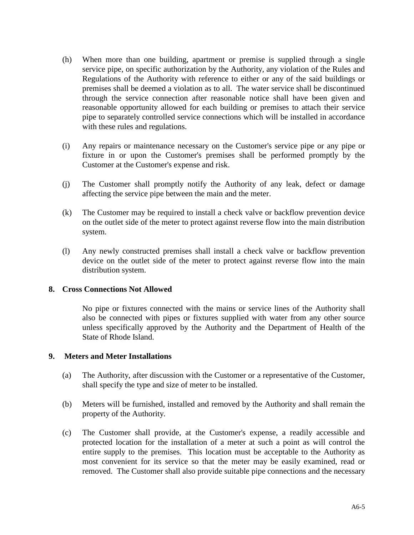- (h) When more than one building, apartment or premise is supplied through a single service pipe, on specific authorization by the Authority, any violation of the Rules and Regulations of the Authority with reference to either or any of the said buildings or premises shall be deemed a violation as to all. The water service shall be discontinued through the service connection after reasonable notice shall have been given and reasonable opportunity allowed for each building or premises to attach their service pipe to separately controlled service connections which will be installed in accordance with these rules and regulations.
- (i) Any repairs or maintenance necessary on the Customer's service pipe or any pipe or fixture in or upon the Customer's premises shall be performed promptly by the Customer at the Customer's expense and risk.
- (j) The Customer shall promptly notify the Authority of any leak, defect or damage affecting the service pipe between the main and the meter.
- (k) The Customer may be required to install a check valve or backflow prevention device on the outlet side of the meter to protect against reverse flow into the main distribution system.
- (l) Any newly constructed premises shall install a check valve or backflow prevention device on the outlet side of the meter to protect against reverse flow into the main distribution system.

#### **8. Cross Connections Not Allowed**

No pipe or fixtures connected with the mains or service lines of the Authority shall also be connected with pipes or fixtures supplied with water from any other source unless specifically approved by the Authority and the Department of Health of the State of Rhode Island.

#### **9. Meters and Meter Installations**

- (a) The Authority, after discussion with the Customer or a representative of the Customer, shall specify the type and size of meter to be installed.
- (b) Meters will be furnished, installed and removed by the Authority and shall remain the property of the Authority.
- (c) The Customer shall provide, at the Customer's expense, a readily accessible and protected location for the installation of a meter at such a point as will control the entire supply to the premises. This location must be acceptable to the Authority as most convenient for its service so that the meter may be easily examined, read or removed. The Customer shall also provide suitable pipe connections and the necessary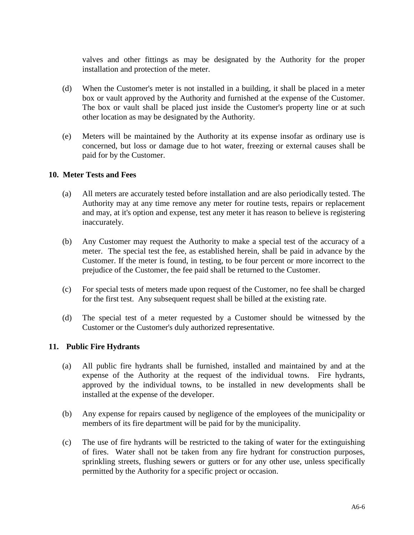valves and other fittings as may be designated by the Authority for the proper installation and protection of the meter.

- (d) When the Customer's meter is not installed in a building, it shall be placed in a meter box or vault approved by the Authority and furnished at the expense of the Customer. The box or vault shall be placed just inside the Customer's property line or at such other location as may be designated by the Authority.
- (e) Meters will be maintained by the Authority at its expense insofar as ordinary use is concerned, but loss or damage due to hot water, freezing or external causes shall be paid for by the Customer.

## **10. Meter Tests and Fees**

- (a) All meters are accurately tested before installation and are also periodically tested. The Authority may at any time remove any meter for routine tests, repairs or replacement and may, at it's option and expense, test any meter it has reason to believe is registering inaccurately.
- (b) Any Customer may request the Authority to make a special test of the accuracy of a meter. The special test the fee, as established herein, shall be paid in advance by the Customer. If the meter is found, in testing, to be four percent or more incorrect to the prejudice of the Customer, the fee paid shall be returned to the Customer.
- (c) For special tests of meters made upon request of the Customer, no fee shall be charged for the first test. Any subsequent request shall be billed at the existing rate.
- (d) The special test of a meter requested by a Customer should be witnessed by the Customer or the Customer's duly authorized representative.

#### **11. Public Fire Hydrants**

- (a) All public fire hydrants shall be furnished, installed and maintained by and at the expense of the Authority at the request of the individual towns. Fire hydrants, approved by the individual towns, to be installed in new developments shall be installed at the expense of the developer.
- (b) Any expense for repairs caused by negligence of the employees of the municipality or members of its fire department will be paid for by the municipality.
- (c) The use of fire hydrants will be restricted to the taking of water for the extinguishing of fires. Water shall not be taken from any fire hydrant for construction purposes, sprinkling streets, flushing sewers or gutters or for any other use, unless specifically permitted by the Authority for a specific project or occasion.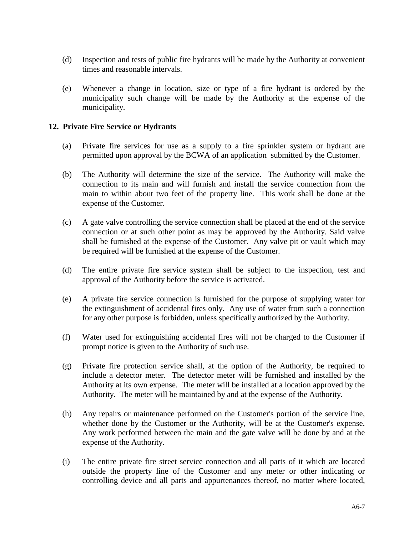- (d) Inspection and tests of public fire hydrants will be made by the Authority at convenient times and reasonable intervals.
- (e) Whenever a change in location, size or type of a fire hydrant is ordered by the municipality such change will be made by the Authority at the expense of the municipality.

## **12. Private Fire Service or Hydrants**

- (a) Private fire services for use as a supply to a fire sprinkler system or hydrant are permitted upon approval by the BCWA of an application submitted by the Customer.
- (b) The Authority will determine the size of the service. The Authority will make the connection to its main and will furnish and install the service connection from the main to within about two feet of the property line. This work shall be done at the expense of the Customer.
- (c) A gate valve controlling the service connection shall be placed at the end of the service connection or at such other point as may be approved by the Authority. Said valve shall be furnished at the expense of the Customer. Any valve pit or vault which may be required will be furnished at the expense of the Customer.
- (d) The entire private fire service system shall be subject to the inspection, test and approval of the Authority before the service is activated.
- (e) A private fire service connection is furnished for the purpose of supplying water for the extinguishment of accidental fires only. Any use of water from such a connection for any other purpose is forbidden, unless specifically authorized by the Authority.
- (f) Water used for extinguishing accidental fires will not be charged to the Customer if prompt notice is given to the Authority of such use.
- (g) Private fire protection service shall, at the option of the Authority, be required to include a detector meter. The detector meter will be furnished and installed by the Authority at its own expense. The meter will be installed at a location approved by the Authority. The meter will be maintained by and at the expense of the Authority.
- (h) Any repairs or maintenance performed on the Customer's portion of the service line, whether done by the Customer or the Authority, will be at the Customer's expense. Any work performed between the main and the gate valve will be done by and at the expense of the Authority.
- (i) The entire private fire street service connection and all parts of it which are located outside the property line of the Customer and any meter or other indicating or controlling device and all parts and appurtenances thereof, no matter where located,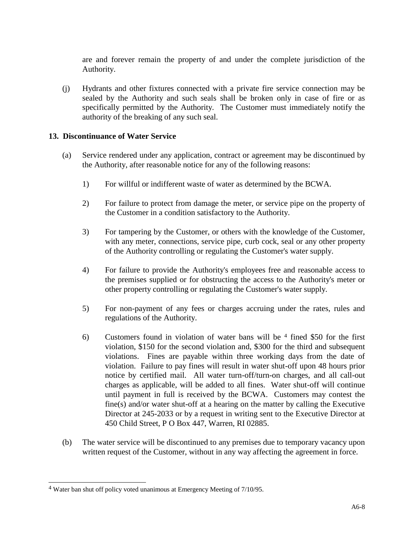are and forever remain the property of and under the complete jurisdiction of the Authority.

(j) Hydrants and other fixtures connected with a private fire service connection may be sealed by the Authority and such seals shall be broken only in case of fire or as specifically permitted by the Authority. The Customer must immediately notify the authority of the breaking of any such seal.

## **13. Discontinuance of Water Service**

- (a) Service rendered under any application, contract or agreement may be discontinued by the Authority, after reasonable notice for any of the following reasons:
	- 1) For willful or indifferent waste of water as determined by the BCWA.
	- 2) For failure to protect from damage the meter, or service pipe on the property of the Customer in a condition satisfactory to the Authority.
	- 3) For tampering by the Customer, or others with the knowledge of the Customer, with any meter, connections, service pipe, curb cock, seal or any other property of the Authority controlling or regulating the Customer's water supply.
	- 4) For failure to provide the Authority's employees free and reasonable access to the premises supplied or for obstructing the access to the Authority's meter or other property controlling or regulating the Customer's water supply.
	- 5) For non-payment of any fees or charges accruing under the rates, rules and regulations of the Authority.
	- 6) Customers found in violation of water bans will be <sup>4</sup> fined \$50 for the first violation, \$150 for the second violation and, \$300 for the third and subsequent violations. Fines are payable within three working days from the date of violation. Failure to pay fines will result in water shut-off upon 48 hours prior notice by certified mail. All water turn-off/turn-on charges, and all call-out charges as applicable, will be added to all fines. Water shut-off will continue until payment in full is received by the BCWA. Customers may contest the fine(s) and/or water shut-off at a hearing on the matter by calling the Executive Director at 245-2033 or by a request in writing sent to the Executive Director at 450 Child Street, P O Box 447, Warren, RI 02885.
- (b) The water service will be discontinued to any premises due to temporary vacancy upon written request of the Customer, without in any way affecting the agreement in force.

l

<sup>4</sup> Water ban shut off policy voted unanimous at Emergency Meeting of 7/10/95.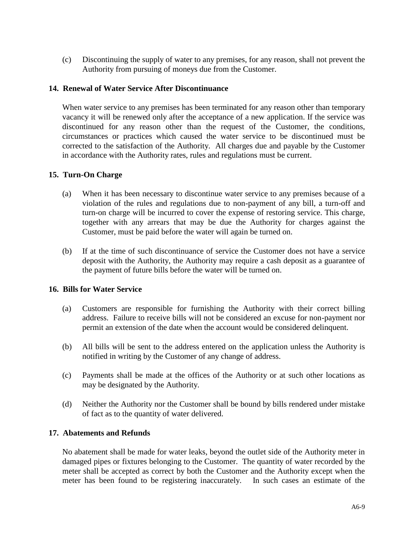(c) Discontinuing the supply of water to any premises, for any reason, shall not prevent the Authority from pursuing of moneys due from the Customer.

## **14. Renewal of Water Service After Discontinuance**

When water service to any premises has been terminated for any reason other than temporary vacancy it will be renewed only after the acceptance of a new application. If the service was discontinued for any reason other than the request of the Customer, the conditions, circumstances or practices which caused the water service to be discontinued must be corrected to the satisfaction of the Authority. All charges due and payable by the Customer in accordance with the Authority rates, rules and regulations must be current.

## **15. Turn-On Charge**

- (a) When it has been necessary to discontinue water service to any premises because of a violation of the rules and regulations due to non-payment of any bill, a turn-off and turn-on charge will be incurred to cover the expense of restoring service. This charge, together with any arrears that may be due the Authority for charges against the Customer, must be paid before the water will again be turned on.
- (b) If at the time of such discontinuance of service the Customer does not have a service deposit with the Authority, the Authority may require a cash deposit as a guarantee of the payment of future bills before the water will be turned on.

#### **16. Bills for Water Service**

- (a) Customers are responsible for furnishing the Authority with their correct billing address. Failure to receive bills will not be considered an excuse for non-payment nor permit an extension of the date when the account would be considered delinquent.
- (b) All bills will be sent to the address entered on the application unless the Authority is notified in writing by the Customer of any change of address.
- (c) Payments shall be made at the offices of the Authority or at such other locations as may be designated by the Authority.
- (d) Neither the Authority nor the Customer shall be bound by bills rendered under mistake of fact as to the quantity of water delivered.

#### **17. Abatements and Refunds**

No abatement shall be made for water leaks, beyond the outlet side of the Authority meter in damaged pipes or fixtures belonging to the Customer. The quantity of water recorded by the meter shall be accepted as correct by both the Customer and the Authority except when the meter has been found to be registering inaccurately. In such cases an estimate of the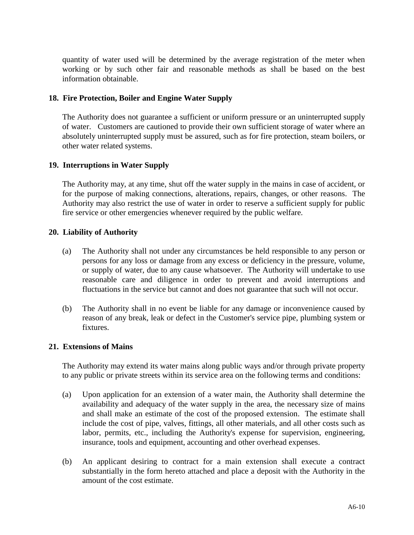quantity of water used will be determined by the average registration of the meter when working or by such other fair and reasonable methods as shall be based on the best information obtainable.

## **18. Fire Protection, Boiler and Engine Water Supply**

The Authority does not guarantee a sufficient or uniform pressure or an uninterrupted supply of water. Customers are cautioned to provide their own sufficient storage of water where an absolutely uninterrupted supply must be assured, such as for fire protection, steam boilers, or other water related systems.

## **19. Interruptions in Water Supply**

The Authority may, at any time, shut off the water supply in the mains in case of accident, or for the purpose of making connections, alterations, repairs, changes, or other reasons. The Authority may also restrict the use of water in order to reserve a sufficient supply for public fire service or other emergencies whenever required by the public welfare.

## **20. Liability of Authority**

- (a) The Authority shall not under any circumstances be held responsible to any person or persons for any loss or damage from any excess or deficiency in the pressure, volume, or supply of water, due to any cause whatsoever. The Authority will undertake to use reasonable care and diligence in order to prevent and avoid interruptions and fluctuations in the service but cannot and does not guarantee that such will not occur.
- (b) The Authority shall in no event be liable for any damage or inconvenience caused by reason of any break, leak or defect in the Customer's service pipe, plumbing system or fixtures.

#### **21. Extensions of Mains**

The Authority may extend its water mains along public ways and/or through private property to any public or private streets within its service area on the following terms and conditions:

- (a) Upon application for an extension of a water main, the Authority shall determine the availability and adequacy of the water supply in the area, the necessary size of mains and shall make an estimate of the cost of the proposed extension. The estimate shall include the cost of pipe, valves, fittings, all other materials, and all other costs such as labor, permits, etc., including the Authority's expense for supervision, engineering, insurance, tools and equipment, accounting and other overhead expenses.
- (b) An applicant desiring to contract for a main extension shall execute a contract substantially in the form hereto attached and place a deposit with the Authority in the amount of the cost estimate.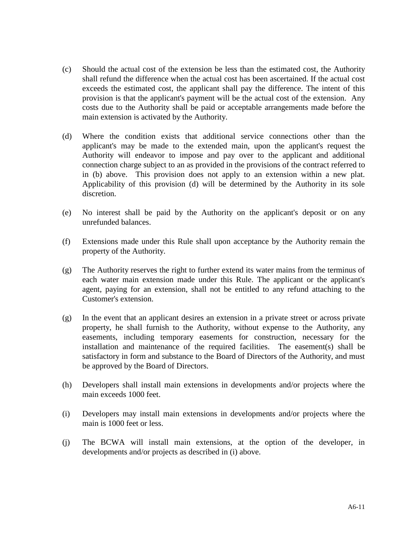- (c) Should the actual cost of the extension be less than the estimated cost, the Authority shall refund the difference when the actual cost has been ascertained. If the actual cost exceeds the estimated cost, the applicant shall pay the difference. The intent of this provision is that the applicant's payment will be the actual cost of the extension. Any costs due to the Authority shall be paid or acceptable arrangements made before the main extension is activated by the Authority.
- (d) Where the condition exists that additional service connections other than the applicant's may be made to the extended main, upon the applicant's request the Authority will endeavor to impose and pay over to the applicant and additional connection charge subject to an as provided in the provisions of the contract referred to in (b) above. This provision does not apply to an extension within a new plat. Applicability of this provision (d) will be determined by the Authority in its sole discretion.
- (e) No interest shall be paid by the Authority on the applicant's deposit or on any unrefunded balances.
- (f) Extensions made under this Rule shall upon acceptance by the Authority remain the property of the Authority.
- (g) The Authority reserves the right to further extend its water mains from the terminus of each water main extension made under this Rule. The applicant or the applicant's agent, paying for an extension, shall not be entitled to any refund attaching to the Customer's extension.
- (g) In the event that an applicant desires an extension in a private street or across private property, he shall furnish to the Authority, without expense to the Authority, any easements, including temporary easements for construction, necessary for the installation and maintenance of the required facilities. The easement(s) shall be satisfactory in form and substance to the Board of Directors of the Authority, and must be approved by the Board of Directors.
- (h) Developers shall install main extensions in developments and/or projects where the main exceeds 1000 feet.
- (i) Developers may install main extensions in developments and/or projects where the main is 1000 feet or less.
- (j) The BCWA will install main extensions, at the option of the developer, in developments and/or projects as described in (i) above.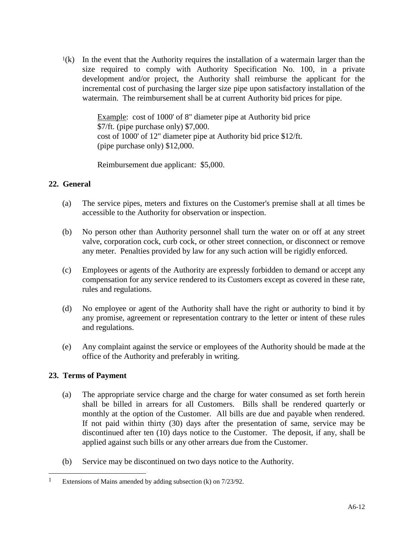$<sup>1</sup>(k)$  In the event that the Authority requires the installation of a watermain larger than the</sup> size required to comply with Authority Specification No. 100, in a private development and/or project, the Authority shall reimburse the applicant for the incremental cost of purchasing the larger size pipe upon satisfactory installation of the watermain. The reimbursement shall be at current Authority bid prices for pipe.

> Example: cost of 1000' of 8" diameter pipe at Authority bid price \$7/ft. (pipe purchase only) \$7,000. cost of 1000' of 12" diameter pipe at Authority bid price \$12/ft. (pipe purchase only) \$12,000.

Reimbursement due applicant: \$5,000.

## **22. General**

- (a) The service pipes, meters and fixtures on the Customer's premise shall at all times be accessible to the Authority for observation or inspection.
- (b) No person other than Authority personnel shall turn the water on or off at any street valve, corporation cock, curb cock, or other street connection, or disconnect or remove any meter. Penalties provided by law for any such action will be rigidly enforced.
- (c) Employees or agents of the Authority are expressly forbidden to demand or accept any compensation for any service rendered to its Customers except as covered in these rate, rules and regulations.
- (d) No employee or agent of the Authority shall have the right or authority to bind it by any promise, agreement or representation contrary to the letter or intent of these rules and regulations.
- (e) Any complaint against the service or employees of the Authority should be made at the office of the Authority and preferably in writing.

## **23. Terms of Payment**

 $\overline{a}$ 

- (a) The appropriate service charge and the charge for water consumed as set forth herein shall be billed in arrears for all Customers. Bills shall be rendered quarterly or monthly at the option of the Customer. All bills are due and payable when rendered. If not paid within thirty (30) days after the presentation of same, service may be discontinued after ten (10) days notice to the Customer. The deposit, if any, shall be applied against such bills or any other arrears due from the Customer.
- (b) Service may be discontinued on two days notice to the Authority.

<sup>1</sup> Extensions of Mains amended by adding subsection (k) on 7/23/92.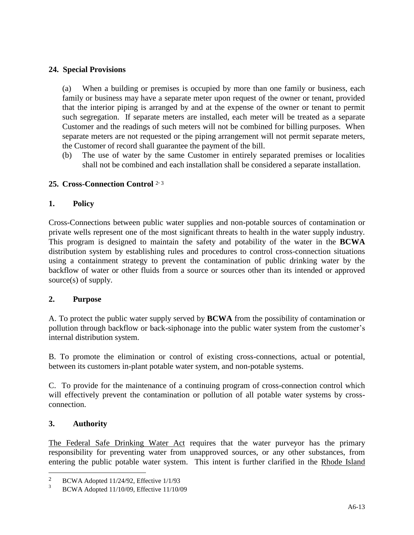## **24. Special Provisions**

(a) When a building or premises is occupied by more than one family or business, each family or business may have a separate meter upon request of the owner or tenant, provided that the interior piping is arranged by and at the expense of the owner or tenant to permit such segregation. If separate meters are installed, each meter will be treated as a separate Customer and the readings of such meters will not be combined for billing purposes. When separate meters are not requested or the piping arrangement will not permit separate meters, the Customer of record shall guarantee the payment of the bill.

(b) The use of water by the same Customer in entirely separated premises or localities shall not be combined and each installation shall be considered a separate installation.

# **25. Cross-Connection Control** <sup>2</sup> , 3

## **1. Policy**

Cross-Connections between public water supplies and non-potable sources of contamination or private wells represent one of the most significant threats to health in the water supply industry. This program is designed to maintain the safety and potability of the water in the **BCWA** distribution system by establishing rules and procedures to control cross-connection situations using a containment strategy to prevent the contamination of public drinking water by the backflow of water or other fluids from a source or sources other than its intended or approved source(s) of supply.

## **2. Purpose**

A. To protect the public water supply served by **BCWA** from the possibility of contamination or pollution through backflow or back-siphonage into the public water system from the customer's internal distribution system.

B. To promote the elimination or control of existing cross-connections, actual or potential, between its customers in-plant potable water system, and non-potable systems.

C. To provide for the maintenance of a continuing program of cross-connection control which will effectively prevent the contamination or pollution of all potable water systems by crossconnection.

## **3. Authority**

 $\overline{a}$ 

The Federal Safe Drinking Water Act requires that the water purveyor has the primary responsibility for preventing water from unapproved sources, or any other substances, from entering the public potable water system. This intent is further clarified in the Rhode Island

<sup>2</sup> BCWA Adopted 11/24/92, Effective 1/1/93

<sup>3</sup> BCWA Adopted 11/10/09, Effective 11/10/09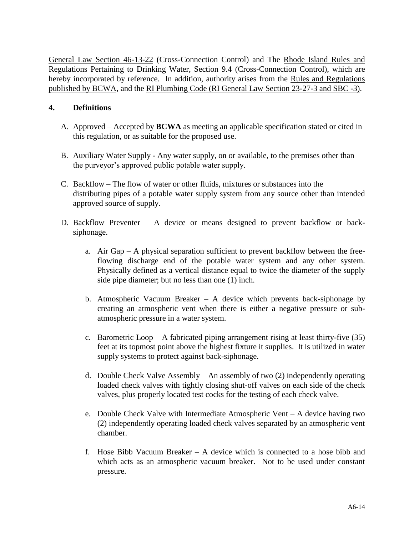General Law Section 46-13-22 (Cross-Connection Control) and The Rhode Island Rules and Regulations Pertaining to Drinking Water, Section 9.4 (Cross-Connection Control), which are hereby incorporated by reference. In addition, authority arises from the Rules and Regulations published by BCWA, and the RI Plumbing Code (RI General Law Section 23-27-3 and SBC -3).

## **4. Definitions**

- A. Approved Accepted by **BCWA** as meeting an applicable specification stated or cited in this regulation, or as suitable for the proposed use.
- B. Auxiliary Water Supply Any water supply, on or available, to the premises other than the purveyor's approved public potable water supply.
- C. Backflow The flow of water or other fluids, mixtures or substances into the distributing pipes of a potable water supply system from any source other than intended approved source of supply.
- D. Backflow Preventer A device or means designed to prevent backflow or backsiphonage.
	- a. Air Gap A physical separation sufficient to prevent backflow between the freeflowing discharge end of the potable water system and any other system. Physically defined as a vertical distance equal to twice the diameter of the supply side pipe diameter; but no less than one (1) inch.
	- b. Atmospheric Vacuum Breaker A device which prevents back-siphonage by creating an atmospheric vent when there is either a negative pressure or subatmospheric pressure in a water system.
	- c. Barometric Loop A fabricated piping arrangement rising at least thirty-five  $(35)$ feet at its topmost point above the highest fixture it supplies. It is utilized in water supply systems to protect against back-siphonage.
	- d. Double Check Valve Assembly An assembly of two (2) independently operating loaded check valves with tightly closing shut-off valves on each side of the check valves, plus properly located test cocks for the testing of each check valve.
	- e. Double Check Valve with Intermediate Atmospheric Vent A device having two (2) independently operating loaded check valves separated by an atmospheric vent chamber.
	- f. Hose Bibb Vacuum Breaker A device which is connected to a hose bibb and which acts as an atmospheric vacuum breaker. Not to be used under constant pressure.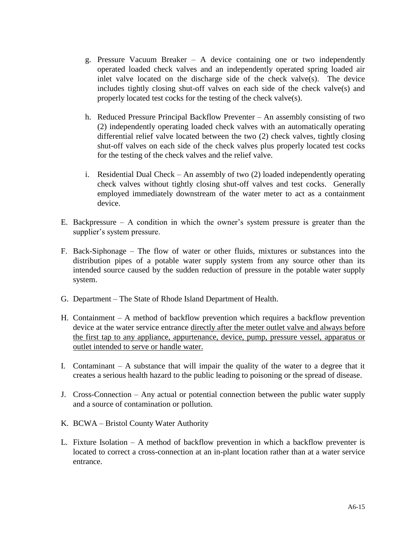- g. Pressure Vacuum Breaker A device containing one or two independently operated loaded check valves and an independently operated spring loaded air inlet valve located on the discharge side of the check valve(s). The device includes tightly closing shut-off valves on each side of the check valve(s) and properly located test cocks for the testing of the check valve(s).
- h. Reduced Pressure Principal Backflow Preventer An assembly consisting of two (2) independently operating loaded check valves with an automatically operating differential relief valve located between the two (2) check valves, tightly closing shut-off valves on each side of the check valves plus properly located test cocks for the testing of the check valves and the relief valve.
- i. Residential Dual Check An assembly of two (2) loaded independently operating check valves without tightly closing shut-off valves and test cocks. Generally employed immediately downstream of the water meter to act as a containment device.
- E. Backpressure A condition in which the owner's system pressure is greater than the supplier's system pressure.
- F. Back-Siphonage The flow of water or other fluids, mixtures or substances into the distribution pipes of a potable water supply system from any source other than its intended source caused by the sudden reduction of pressure in the potable water supply system.
- G. Department The State of Rhode Island Department of Health.
- H. Containment A method of backflow prevention which requires a backflow prevention device at the water service entrance directly after the meter outlet valve and always before the first tap to any appliance, appurtenance, device, pump, pressure vessel, apparatus or outlet intended to serve or handle water.
- I. Contaminant A substance that will impair the quality of the water to a degree that it creates a serious health hazard to the public leading to poisoning or the spread of disease.
- J. Cross-Connection Any actual or potential connection between the public water supply and a source of contamination or pollution.
- K. BCWA Bristol County Water Authority
- L. Fixture Isolation A method of backflow prevention in which a backflow preventer is located to correct a cross-connection at an in-plant location rather than at a water service entrance.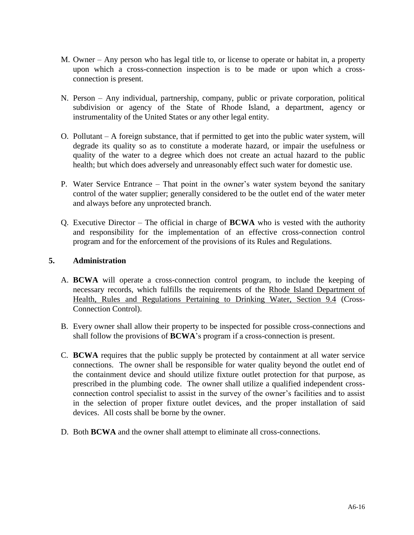- M. Owner Any person who has legal title to, or license to operate or habitat in, a property upon which a cross-connection inspection is to be made or upon which a crossconnection is present.
- N. Person Any individual, partnership, company, public or private corporation, political subdivision or agency of the State of Rhode Island, a department, agency or instrumentality of the United States or any other legal entity.
- O. Pollutant A foreign substance, that if permitted to get into the public water system, will degrade its quality so as to constitute a moderate hazard, or impair the usefulness or quality of the water to a degree which does not create an actual hazard to the public health; but which does adversely and unreasonably effect such water for domestic use.
- P. Water Service Entrance That point in the owner's water system beyond the sanitary control of the water supplier; generally considered to be the outlet end of the water meter and always before any unprotected branch.
- Q. Executive Director The official in charge of **BCWA** who is vested with the authority and responsibility for the implementation of an effective cross-connection control program and for the enforcement of the provisions of its Rules and Regulations.

## **5. Administration**

- A. **BCWA** will operate a cross-connection control program, to include the keeping of necessary records, which fulfills the requirements of the Rhode Island Department of Health, Rules and Regulations Pertaining to Drinking Water, Section 9.4 (Cross-Connection Control).
- B. Every owner shall allow their property to be inspected for possible cross-connections and shall follow the provisions of **BCWA**'s program if a cross-connection is present.
- C. **BCWA** requires that the public supply be protected by containment at all water service connections. The owner shall be responsible for water quality beyond the outlet end of the containment device and should utilize fixture outlet protection for that purpose, as prescribed in the plumbing code. The owner shall utilize a qualified independent crossconnection control specialist to assist in the survey of the owner's facilities and to assist in the selection of proper fixture outlet devices, and the proper installation of said devices. All costs shall be borne by the owner.
- D. Both **BCWA** and the owner shall attempt to eliminate all cross-connections.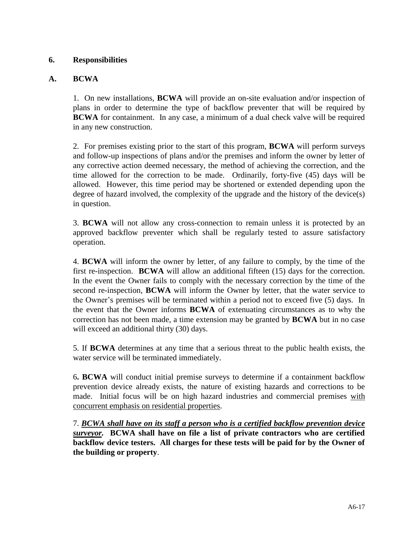## **6. Responsibilities**

## **A. BCWA**

1.On new installations, **BCWA** will provide an on-site evaluation and/or inspection of plans in order to determine the type of backflow preventer that will be required by **BCWA** for containment. In any case, a minimum of a dual check valve will be required in any new construction.

2.For premises existing prior to the start of this program, **BCWA** will perform surveys and follow-up inspections of plans and/or the premises and inform the owner by letter of any corrective action deemed necessary, the method of achieving the correction, and the time allowed for the correction to be made. Ordinarily, forty-five (45) days will be allowed. However, this time period may be shortened or extended depending upon the degree of hazard involved, the complexity of the upgrade and the history of the device(s) in question.

3. **BCWA** will not allow any cross-connection to remain unless it is protected by an approved backflow preventer which shall be regularly tested to assure satisfactory operation.

4. **BCWA** will inform the owner by letter, of any failure to comply, by the time of the first re-inspection. **BCWA** will allow an additional fifteen (15) days for the correction. In the event the Owner fails to comply with the necessary correction by the time of the second re-inspection, **BCWA** will inform the Owner by letter, that the water service to the Owner's premises will be terminated within a period not to exceed five (5) days. In the event that the Owner informs **BCWA** of extenuating circumstances as to why the correction has not been made, a time extension may be granted by **BCWA** but in no case will exceed an additional thirty (30) days.

5. If **BCWA** determines at any time that a serious threat to the public health exists, the water service will be terminated immediately.

6**. BCWA** will conduct initial premise surveys to determine if a containment backflow prevention device already exists, the nature of existing hazards and corrections to be made. Initial focus will be on high hazard industries and commercial premises with concurrent emphasis on residential properties.

7. *BCWA shall have on its staff a person who is a certified backflow prevention device surveyor.* **BCWA shall have on file a list of private contractors who are certified backflow device testers. All charges for these tests will be paid for by the Owner of the building or property**.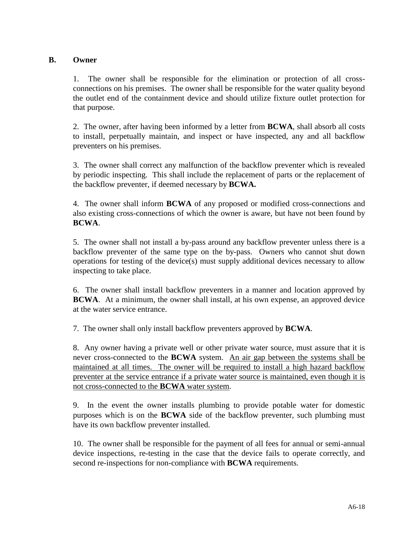## **B. Owner**

1.The owner shall be responsible for the elimination or protection of all crossconnections on his premises. The owner shall be responsible for the water quality beyond the outlet end of the containment device and should utilize fixture outlet protection for that purpose.

2. The owner, after having been informed by a letter from **BCWA**, shall absorb all costs to install, perpetually maintain, and inspect or have inspected, any and all backflow preventers on his premises.

3.The owner shall correct any malfunction of the backflow preventer which is revealed by periodic inspecting. This shall include the replacement of parts or the replacement of the backflow preventer, if deemed necessary by **BCWA.**

4.The owner shall inform **BCWA** of any proposed or modified cross-connections and also existing cross-connections of which the owner is aware, but have not been found by **BCWA**.

5.The owner shall not install a by-pass around any backflow preventer unless there is a backflow preventer of the same type on the by-pass. Owners who cannot shut down operations for testing of the device(s) must supply additional devices necessary to allow inspecting to take place.

6.The owner shall install backflow preventers in a manner and location approved by **BCWA**. At a minimum, the owner shall install, at his own expense, an approved device at the water service entrance.

7.The owner shall only install backflow preventers approved by **BCWA**.

8.Any owner having a private well or other private water source, must assure that it is never cross-connected to the **BCWA** system. An air gap between the systems shall be maintained at all times. The owner will be required to install a high hazard backflow preventer at the service entrance if a private water source is maintained, even though it is not cross-connected to the **BCWA** water system.

9. In the event the owner installs plumbing to provide potable water for domestic purposes which is on the **BCWA** side of the backflow preventer, such plumbing must have its own backflow preventer installed.

10. The owner shall be responsible for the payment of all fees for annual or semi-annual device inspections, re-testing in the case that the device fails to operate correctly, and second re-inspections for non-compliance with **BCWA** requirements.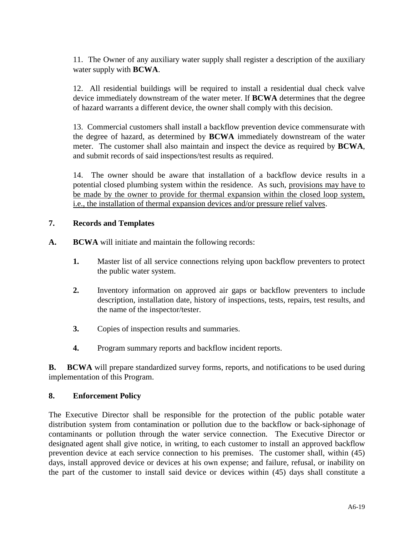11. The Owner of any auxiliary water supply shall register a description of the auxiliary water supply with **BCWA**.

12. All residential buildings will be required to install a residential dual check valve device immediately downstream of the water meter. If **BCWA** determines that the degree of hazard warrants a different device, the owner shall comply with this decision.

13. Commercial customers shall install a backflow prevention device commensurate with the degree of hazard, as determined by **BCWA** immediately downstream of the water meter. The customer shall also maintain and inspect the device as required by **BCWA**, and submit records of said inspections/test results as required.

14. The owner should be aware that installation of a backflow device results in a potential closed plumbing system within the residence. As such, provisions may have to be made by the owner to provide for thermal expansion within the closed loop system, i.e., the installation of thermal expansion devices and/or pressure relief valves.

## **7. Records and Templates**

- **A. BCWA** will initiate and maintain the following records:
	- **1.** Master list of all service connections relying upon backflow preventers to protect the public water system.
	- **2.** Inventory information on approved air gaps or backflow preventers to include description, installation date, history of inspections, tests, repairs, test results, and the name of the inspector/tester.
	- **3.** Copies of inspection results and summaries.
	- **4.** Program summary reports and backflow incident reports.

**B.** BCWA will prepare standardized survey forms, reports, and notifications to be used during implementation of this Program.

#### **8. Enforcement Policy**

The Executive Director shall be responsible for the protection of the public potable water distribution system from contamination or pollution due to the backflow or back-siphonage of contaminants or pollution through the water service connection. The Executive Director or designated agent shall give notice, in writing, to each customer to install an approved backflow prevention device at each service connection to his premises. The customer shall, within (45) days, install approved device or devices at his own expense; and failure, refusal, or inability on the part of the customer to install said device or devices within (45) days shall constitute a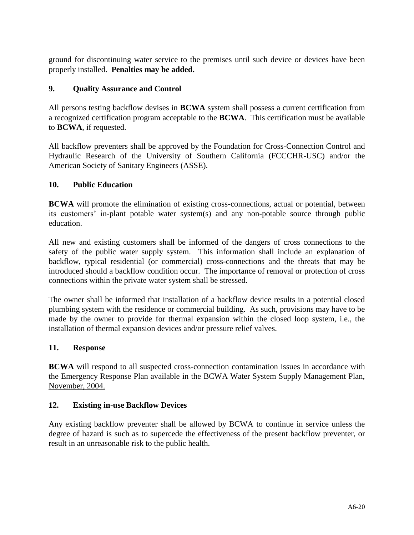ground for discontinuing water service to the premises until such device or devices have been properly installed. **Penalties may be added.**

## **9. Quality Assurance and Control**

All persons testing backflow devises in **BCWA** system shall possess a current certification from a recognized certification program acceptable to the **BCWA**. This certification must be available to **BCWA**, if requested.

All backflow preventers shall be approved by the Foundation for Cross-Connection Control and Hydraulic Research of the University of Southern California (FCCCHR-USC) and/or the American Society of Sanitary Engineers (ASSE).

## **10. Public Education**

**BCWA** will promote the elimination of existing cross-connections, actual or potential, between its customers' in-plant potable water system(s) and any non-potable source through public education.

All new and existing customers shall be informed of the dangers of cross connections to the safety of the public water supply system. This information shall include an explanation of backflow, typical residential (or commercial) cross-connections and the threats that may be introduced should a backflow condition occur. The importance of removal or protection of cross connections within the private water system shall be stressed.

The owner shall be informed that installation of a backflow device results in a potential closed plumbing system with the residence or commercial building. As such, provisions may have to be made by the owner to provide for thermal expansion within the closed loop system, i.e., the installation of thermal expansion devices and/or pressure relief valves.

## **11. Response**

**BCWA** will respond to all suspected cross-connection contamination issues in accordance with the Emergency Response Plan available in the BCWA Water System Supply Management Plan, November, 2004.

# **12. Existing in-use Backflow Devices**

Any existing backflow preventer shall be allowed by BCWA to continue in service unless the degree of hazard is such as to supercede the effectiveness of the present backflow preventer, or result in an unreasonable risk to the public health.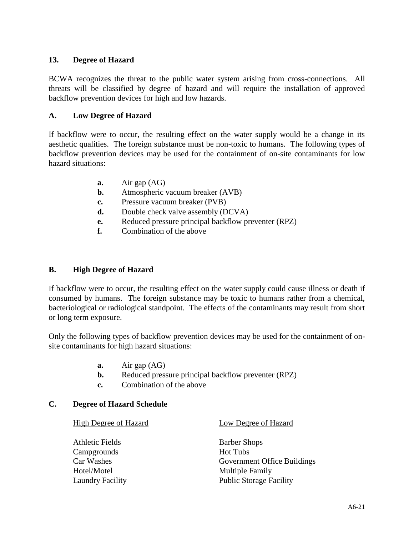## **13. Degree of Hazard**

BCWA recognizes the threat to the public water system arising from cross-connections. All threats will be classified by degree of hazard and will require the installation of approved backflow prevention devices for high and low hazards.

## **A. Low Degree of Hazard**

If backflow were to occur, the resulting effect on the water supply would be a change in its aesthetic qualities. The foreign substance must be non-toxic to humans. The following types of backflow prevention devices may be used for the containment of on-site contaminants for low hazard situations:

- **a.** Air gap (AG)
- **b.** Atmospheric vacuum breaker (AVB)
- **c.** Pressure vacuum breaker (PVB)
- **d.** Double check valve assembly (DCVA)
- **e.** Reduced pressure principal backflow preventer (RPZ)
- **f.** Combination of the above

### **B. High Degree of Hazard**

If backflow were to occur, the resulting effect on the water supply could cause illness or death if consumed by humans. The foreign substance may be toxic to humans rather from a chemical, bacteriological or radiological standpoint. The effects of the contaminants may result from short or long term exposure.

Only the following types of backflow prevention devices may be used for the containment of onsite contaminants for high hazard situations:

- **a.** Air gap (AG)
- **b.** Reduced pressure principal backflow preventer (RPZ)
- **c.** Combination of the above

#### **C. Degree of Hazard Schedule**

| High Degree of Hazard   | Low Degree of Hazard               |
|-------------------------|------------------------------------|
| Athletic Fields         | <b>Barber Shops</b>                |
| Campgrounds             | <b>Hot Tubs</b>                    |
| Car Washes              | <b>Government Office Buildings</b> |
| Hotel/Motel             | <b>Multiple Family</b>             |
| <b>Laundry Facility</b> | <b>Public Storage Facility</b>     |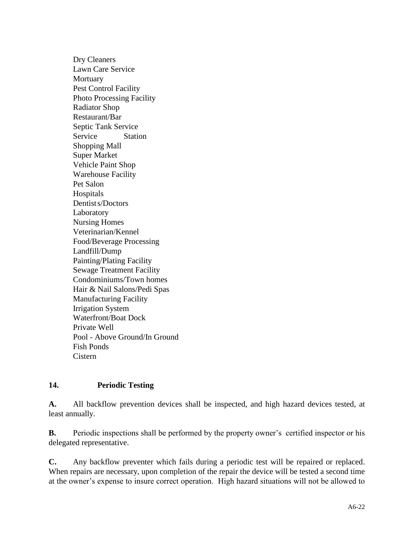Dry Cleaners Lawn Care Service **Mortuary** Pest Control Facility Photo Processing Facility Radiator Shop Restaurant/Bar Septic Tank Service Service Station Shopping Mall Super Market Vehicle Paint Shop Warehouse Facility Pet Salon Hospitals Dentists/Doctors Laboratory Nursing Homes Veterinarian/Kennel Food/Beverage Processing Landfill/Dump Painting/Plating Facility Sewage Treatment Facility Condominiums/Town homes Hair & Nail Salons/Pedi Spas Manufacturing Facility Irrigation System Waterfront/Boat Dock Private Well Pool - Above Ground/In Ground Fish Ponds Cistern

## **14. Periodic Testing**

**A.** All backflow prevention devices shall be inspected, and high hazard devices tested, at least annually.

**B.** Periodic inspections shall be performed by the property owner's certified inspector or his delegated representative.

**C.** Any backflow preventer which fails during a periodic test will be repaired or replaced. When repairs are necessary, upon completion of the repair the device will be tested a second time at the owner's expense to insure correct operation. High hazard situations will not be allowed to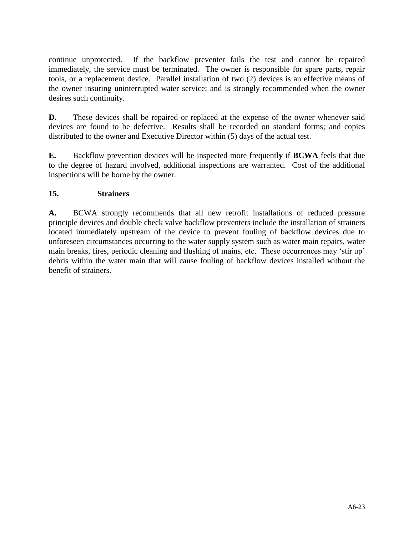continue unprotected. If the backflow preventer fails the test and cannot be repaired immediately, the service must be terminated. The owner is responsible for spare parts, repair tools, or a replacement device. Parallel installation of two (2) devices is an effective means of the owner insuring uninterrupted water service; and is strongly recommended when the owner desires such continuity.

**D.** These devices shall be repaired or replaced at the expense of the owner whenever said devices are found to be defective. Results shall be recorded on standard forms; and copies distributed to the owner and Executive Director within (5) days of the actual test.

**E.** Backflow prevention devices will be inspected more frequentl**y** if **BCWA** feels that due to the degree of hazard involved, additional inspections are warranted. Cost of the additional inspections will be borne by the owner.

# **15. Strainers**

**A.** BCWA strongly recommends that all new retrofit installations of reduced pressure principle devices and double check valve backflow preventers include the installation of strainers located immediately upstream of the device to prevent fouling of backflow devices due to unforeseen circumstances occurring to the water supply system such as water main repairs, water main breaks, fires, periodic cleaning and flushing of mains, etc. These occurrences may 'stir up' debris within the water main that will cause fouling of backflow devices installed without the benefit of strainers.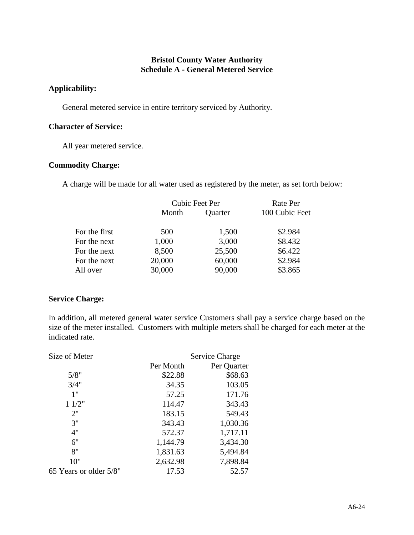## **Bristol County Water Authority Schedule A - General Metered Service**

#### **Applicability:**

General metered service in entire territory serviced by Authority.

### **Character of Service:**

All year metered service.

## **Commodity Charge:**

A charge will be made for all water used as registered by the meter, as set forth below:

|               | Cubic Feet Per |         | Rate Per       |  |
|---------------|----------------|---------|----------------|--|
|               | Month          | Quarter | 100 Cubic Feet |  |
| For the first | 500            | 1,500   | \$2.984        |  |
| For the next  | 1,000          | 3,000   | \$8.432        |  |
| For the next  | 8,500          | 25,500  | \$6.422        |  |
| For the next  | 20,000         | 60,000  | \$2.984        |  |
| All over      | 30,000         | 90,000  | \$3.865        |  |

## **Service Charge:**

In addition, all metered general water service Customers shall pay a service charge based on the size of the meter installed. Customers with multiple meters shall be charged for each meter at the indicated rate.

| Size of Meter          |           | Service Charge |  |  |
|------------------------|-----------|----------------|--|--|
|                        | Per Month | Per Quarter    |  |  |
| 5/8"                   | \$22.88   | \$68.63        |  |  |
| 3/4"                   | 34.35     | 103.05         |  |  |
| 1"                     | 57.25     | 171.76         |  |  |
| 11/2"                  | 114.47    | 343.43         |  |  |
| 2"                     | 183.15    | 549.43         |  |  |
| 3"                     | 343.43    | 1,030.36       |  |  |
| 4"                     | 572.37    | 1,717.11       |  |  |
| 6"                     | 1,144.79  | 3,434.30       |  |  |
| 8"                     | 1,831.63  | 5,494.84       |  |  |
| 10"                    | 2,632.98  | 7,898.84       |  |  |
| 65 Years or older 5/8" | 17.53     | 52.57          |  |  |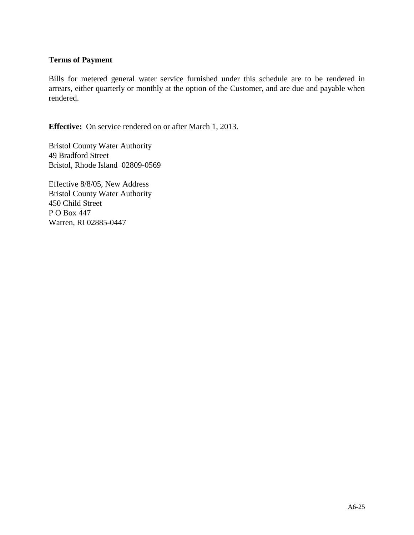## **Terms of Payment**

Bills for metered general water service furnished under this schedule are to be rendered in arrears, either quarterly or monthly at the option of the Customer, and are due and payable when rendered.

**Effective:** On service rendered on or after March 1, 2013.

Bristol County Water Authority 49 Bradford Street Bristol, Rhode Island 02809-0569

Effective 8/8/05, New Address Bristol County Water Authority 450 Child Street P O Box 447 Warren, RI 02885-0447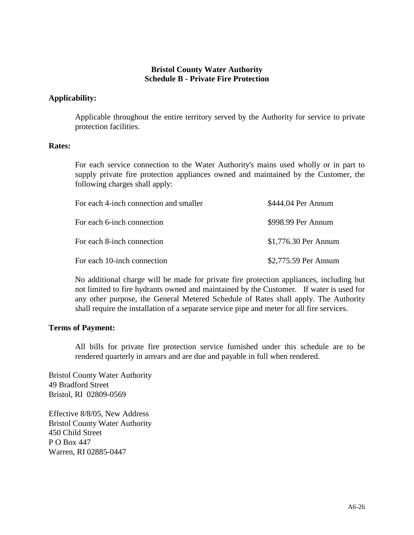## **Bristol County Water Authority Schedule B - Private Fire Protection**

## **Applicability:**

Applicable throughout the entire territory served by the Authority for service to private protection facilities.

#### **Rates:**

For each service connection to the Water Authority's mains used wholly or in part to supply private fire protection appliances owned and maintained by the Customer, the following charges shall apply:

| For each 4-inch connection and smaller | \$444.04 Per Annum   |
|----------------------------------------|----------------------|
| For each 6-inch connection             | \$998.99 Per Annum   |
| For each 8-inch connection             | \$1,776.30 Per Annum |
| For each 10-inch connection            | \$2,775.59 Per Annum |

No additional charge will be made for private fire protection appliances, including but not limited to fire hydrants owned and maintained by the Customer. If water is used for any other purpose, the General Metered Schedule of Rates shall apply. The Authority shall require the installation of a separate service pipe and meter for all fire services.

#### **Terms of Payment:**

All bills for private fire protection service furnished under this schedule are to be rendered quarterly in arrears and are due and payable in full when rendered.

Bristol County Water Authority 49 Bradford Street Bristol, RI 02809-0569

Effective 8/8/05, New Address Bristol County Water Authority 450 Child Street P O Box 447 Warren, RI 02885-0447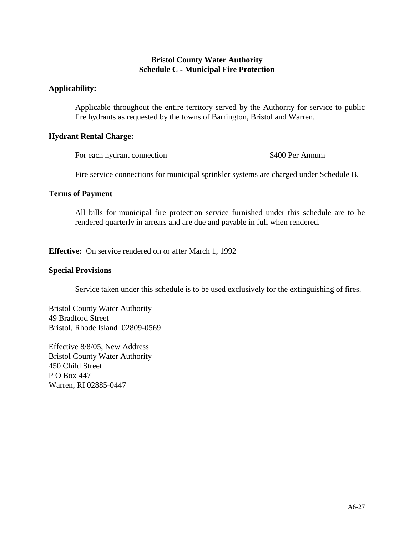## **Bristol County Water Authority Schedule C - Municipal Fire Protection**

### **Applicability:**

Applicable throughout the entire territory served by the Authority for service to public fire hydrants as requested by the towns of Barrington, Bristol and Warren.

## **Hydrant Rental Charge:**

For each hydrant connection \$400 Per Annum

Fire service connections for municipal sprinkler systems are charged under Schedule B.

#### **Terms of Payment**

All bills for municipal fire protection service furnished under this schedule are to be rendered quarterly in arrears and are due and payable in full when rendered.

**Effective:** On service rendered on or after March 1, 1992

#### **Special Provisions**

Service taken under this schedule is to be used exclusively for the extinguishing of fires.

Bristol County Water Authority 49 Bradford Street Bristol, Rhode Island 02809-0569

Effective 8/8/05, New Address Bristol County Water Authority 450 Child Street P O Box 447 Warren, RI 02885-0447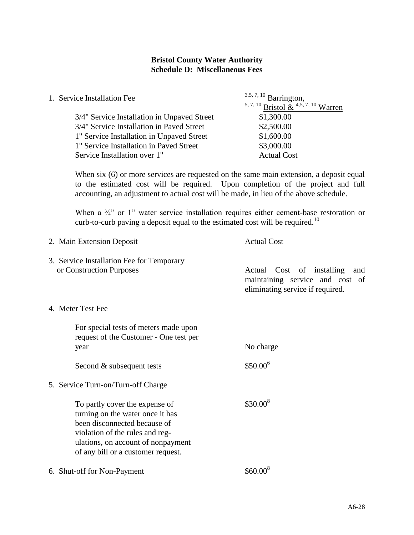### **Bristol County Water Authority Schedule D: Miscellaneous Fees**

| 1. Service Installation Fee                 | $3,5,7,10$ Barrington,               |  |
|---------------------------------------------|--------------------------------------|--|
|                                             | 5, 7, 10 Bristol & $4,5,7,10$ Warren |  |
| 3/4" Service Installation in Unpaved Street | \$1,300.00                           |  |
| 3/4" Service Installation in Paved Street   | \$2,500.00                           |  |
| 1" Service Installation in Unpaved Street   | \$1,600.00                           |  |
| 1" Service Installation in Paved Street     | \$3,000.00                           |  |
| Service Installation over 1"                | <b>Actual Cost</b>                   |  |

When six (6) or more services are requested on the same main extension, a deposit equal to the estimated cost will be required. Upon completion of the project and full accounting, an adjustment to actual cost will be made, in lieu of the above schedule.

When a <sup>3</sup>/<sup>2</sup> or 1" water service installation requires either cement-base restoration or curb-to-curb paving a deposit equal to the estimated cost will be required.<sup>10</sup>

| <b>Actual Cost</b><br>2. Main Extension Deposit                                                                                                                                                                   |                                                                                                         |  |  |
|-------------------------------------------------------------------------------------------------------------------------------------------------------------------------------------------------------------------|---------------------------------------------------------------------------------------------------------|--|--|
| 3. Service Installation Fee for Temporary<br>or Construction Purposes                                                                                                                                             | Actual Cost of installing<br>and<br>maintaining service and cost of<br>eliminating service if required. |  |  |
| 4. Meter Test Fee                                                                                                                                                                                                 |                                                                                                         |  |  |
| For special tests of meters made upon<br>request of the Customer - One test per<br>year<br>Second & subsequent tests                                                                                              | No charge<br>$$50.00^6$                                                                                 |  |  |
| 5. Service Turn-on/Turn-off Charge                                                                                                                                                                                |                                                                                                         |  |  |
| To partly cover the expense of<br>turning on the water once it has<br>been disconnected because of<br>violation of the rules and reg-<br>ulations, on account of nonpayment<br>of any bill or a customer request. | $$30.00^8$                                                                                              |  |  |
| 6. Shut-off for Non-Payment                                                                                                                                                                                       | $$60.00^8$                                                                                              |  |  |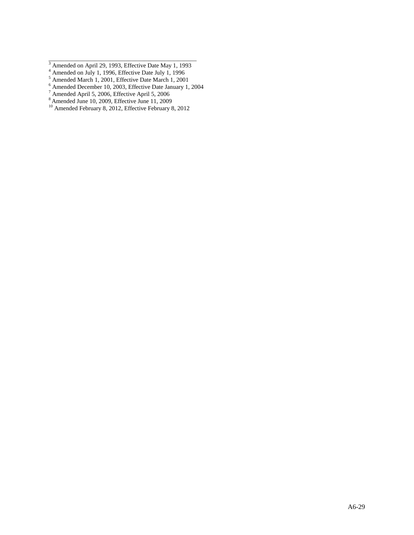- <sup>4</sup> Amended on July 1, 1996, Effective Date July 1, 1996
- Amended March 1, 2001, Effective Date March 1, 2001
- Amended December 10, 2003, Effective Date January 1, 2004
- Amended April 5, 2006, Effective April 5, 2006
- Amended June 10, 2009, Effective June 11, 2009
- Amended February 8, 2012, Effective February 8, 2012

\_\_\_\_\_\_\_\_\_\_\_\_\_\_\_\_\_\_\_\_\_\_\_\_\_\_\_\_\_\_\_\_\_\_\_\_\_\_\_\_\_\_\_\_\_\_\_\_ Amended on April 29, 1993, Effective Date May 1, 1993